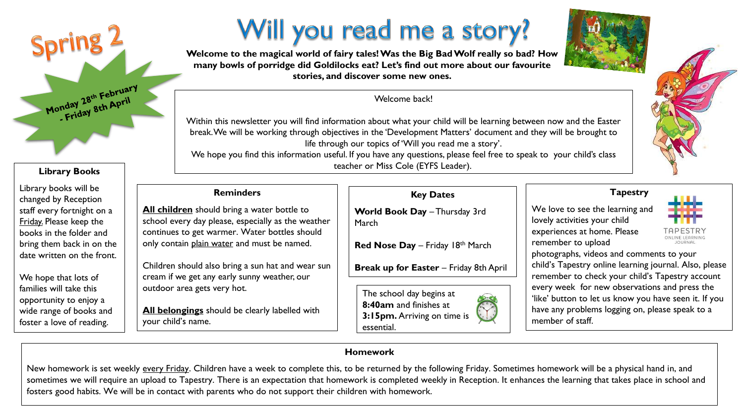# Will you read me a story?



**Welcome to the magical world of fairy tales! Was the Big Bad Wolf really so bad? How many bowls of porridge did Goldilocks eat? Let's find out more about our favourite stories, and discover some new ones.**

Welcome back!

Within this newsletter you will find information about what your child will be learning between now and the Easter break. We will be working through objectives in the 'Development Matters' document and they will be brought to life through our topics of 'Will you read me a story'.

We hope you find this information useful. If you have any questions, please feel free to speak to your child's class teacher or Miss Cole (EYFS Leader).

# **Reminders**

**Library Books**

Monday 28th February

Library books will be changed by Reception staff every fortnight on a Friday. Please keep the books in the folder and bring them back in on the date written on the front.

We hope that lots of families will take this opportunity to enjoy a wide range of books and foster a love of reading.

**All children** should bring a water bottle to school every day please, especially as the weather continues to get warmer. Water bottles should only contain plain water and must be named.

Children should also bring a sun hat and wear sun cream if we get any early sunny weather, our outdoor area gets very hot.

**All belongings** should be clearly labelled with your child's name.

## **Key Dates**

World Book Day - Thursday 3rd March

**Red Nose Day** – Friday 18th March

**Break up for Easter** – Friday 8th April

The school day begins at **8:40am** and finishes at **3:15pm.** Arriving on time is essential.



We love to see the learning and lovely activities your child experiences at home. Please remember to upload



photographs, videos and comments to your child's Tapestry online learning journal. Also, please remember to check your child's Tapestry account every week for new observations and press the 'like' button to let us know you have seen it. If you have any problems logging on, please speak to a member of staff.

## **Homework**

New homework is set weekly every Friday. Children have a week to complete this, to be returned by the following Friday. Sometimes homework will be a physical hand in, and sometimes we will require an upload to Tapestry. There is an expectation that homework is completed weekly in Reception. It enhances the learning that takes place in school and fosters good habits. We will be in contact with parents who do not support their children with homework.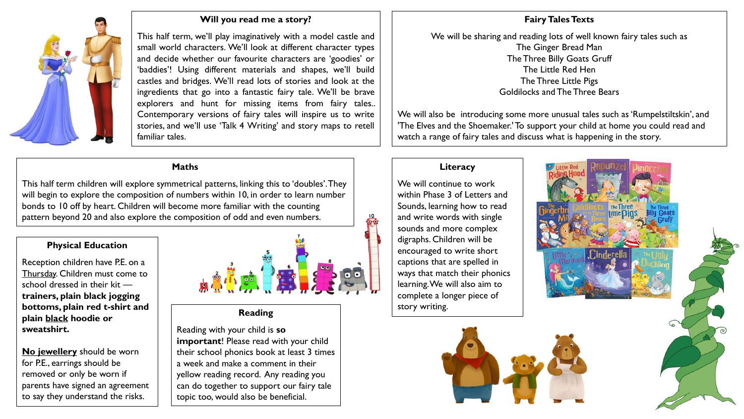

#### **Will you read me a story?**

This half term, we'll play imaginatively with a model castle and small world characters. We'll look at different character types and decide whether our favourite characters are 'goodies' or 'baddies'! Using different materials and shapes, we'll build castles and bridges. We'll read lots of stories and look at the ingredients that go into a fantastic fairy tale. We'll be brave explorers and hunt for missing items from fairy tales.. Contemporary versions of fairy tales will inspire us to write stories, and we'll use 'Talk 4 Writing' and story maps to retell familiar tales.

#### **Maths**

This half term children will explore symmetrical patterns, linking this to 'doubles'. They will begin to explore the composition of numbers within 10, in order to learn number bonds to 10 off by heart. Children will become more familiar with the counting pattern beyond 20 and also explore the composition of odd and even numbers.

### **Physical Education**

Reception children have P.E. on a Thursday. Children must come to school dressed in their kit **trainers, plain black jogging bottoms, plain red t-shirt and plain black hoodie or sweatshirt.** 

**No jewellery** should be worn for P.E., earrings should be removed or only be worn if parents have signed an agreement to say they understand the risks.



## **Reading**

Reading with your child is **so important**! Please read with your child their school phonics book at least 3 times a week and make a comment in their yellow reading record. Any reading you can do together to support our fairy tale topic too, would also be beneficial.

#### **Fairy Tales Texts**

We will be sharing and reading lots of well known fairy tales such as The Ginger Bread Man The Three Billy Goats Gruff The Little Red Hen The Three Little Pigs Goldilocks and The Three Bears

We will also be introducing some more unusual tales such as 'Rumpelstiltskin', and 'The Elves and the Shoemaker.' To support your child at home you could read and watch a range of fairy tales and discuss what is happening in the story.

#### **Literacy**

We will continue to work within Phase 3 of Letters and Sounds, learning how to read and write words with single sounds and more complex digraphs. Children will be encouraged to write short captions that are spelled in ways that match their phonics learning. We will also aim to complete a longer piece of story writing.

ΩÝ